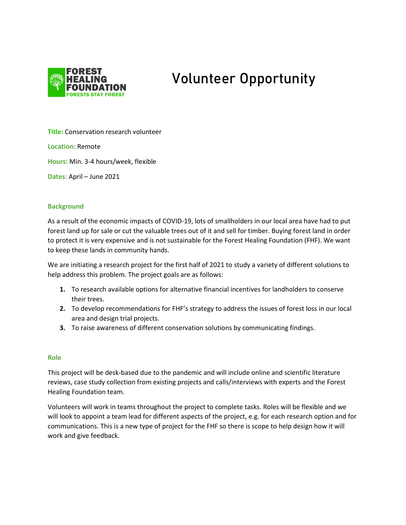

# **Volunteer Opportunity**

**Title:** Conservation research volunteer

**Location:** Remote

**Hours:** Min. 3-4 hours/week, flexible

**Dates:** April – June 2021

# **Background**

As a result of the economic impacts of COVID-19, lots of smallholders in our local area have had to put forest land up for sale or cut the valuable trees out of it and sell for timber. Buying forest land in order to protect it is very expensive and is not sustainable for the Forest Healing Foundation (FHF). We want to keep these lands in community hands.

We are initiating a research project for the first half of 2021 to study a variety of different solutions to help address this problem. The project goals are as follows:

- **1.** To research available options for alternative financial incentives for landholders to conserve their trees.
- **2.** To develop recommendations for FHF's strategy to address the issues of forest loss in our local area and design trial projects.
- **3.** To raise awareness of different conservation solutions by communicating findings.

# **Role**

This project will be desk-based due to the pandemic and will include online and scientific literature reviews, case study collection from existing projects and calls/interviews with experts and the Forest Healing Foundation team.

Volunteers will work in teams throughout the project to complete tasks. Roles will be flexible and we will look to appoint a team lead for different aspects of the project, e.g. for each research option and for communications. This is a new type of project for the FHF so there is scope to help design how it will work and give feedback.